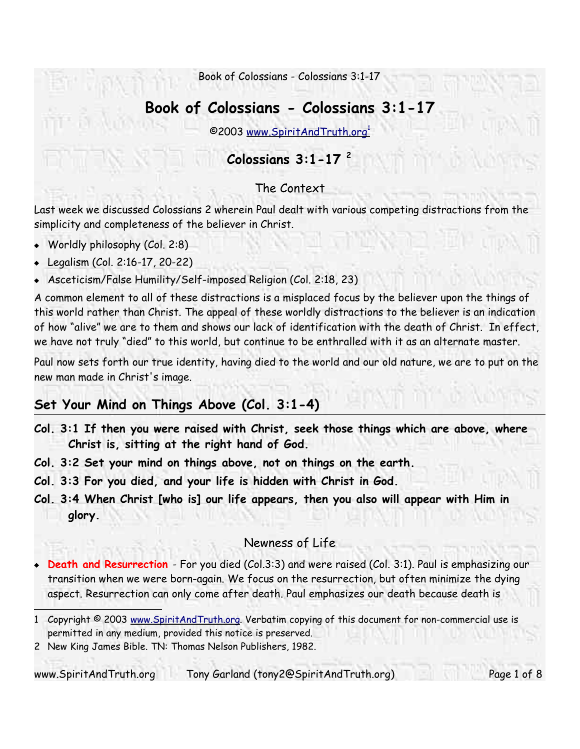# **Book of Colossians - Colossians 3:1-17**

©2003 www.SpiritAndTruth.org 1

## **Colossians 3:1-17 2**

### The Context

Last week we discussed Colossians 2 wherein Paul dealt with various competing distractions from the simplicity and completeness of the believer in Christ.

- Worldly philosophy (Col. 2:8)
- Legalism (Col. 2:16-17, 20-22)
- Asceticism/False Humility/Self-imposed Religion (Col. 2:18, 23)

A common element to all of these distractions is a misplaced focus by the believer upon the things of this world rather than Christ. The appeal of these worldly distractions to the believer is an indication of how "alive" we are to them and shows our lack of identification with the death of Christ. In effect, we have not truly "died" to this world, but continue to be enthralled with it as an alternate master.

Paul now sets forth our true identity, having died to the world and our old nature, we are to put on the new man made in Christ's image.

# **Set Your Mind on Things Above (Col. 3:1-4)**

- **Col. 3:1 If then you were raised with Christ, seek those things which are above, where Christ is, sitting at the right hand of God.**
- **Col. 3:2 Set your mind on things above, not on things on the earth.**
- **Col. 3:3 For you died, and your life is hidden with Christ in God.**
- **Col. 3:4 When Christ [who is] our life appears, then you also will appear with Him in glory.**

### Newness of Life

**Death and Resurrection** - For you died (Col.3:3) and were raised (Col. 3:1). Paul is emphasizing our transition when we were born-again. We focus on the resurrection, but often minimize the dying aspect. Resurrection can only come after death. Paul emphasizes our death because death is

<sup>1</sup> Copyright © 2003 www.SpiritAndTruth.org. Verbatim copying of this document for non-commercial use is permitted in any medium, provided this notice is preserved.

<sup>2</sup> New King James Bible. TN: Thomas Nelson Publishers, 1982.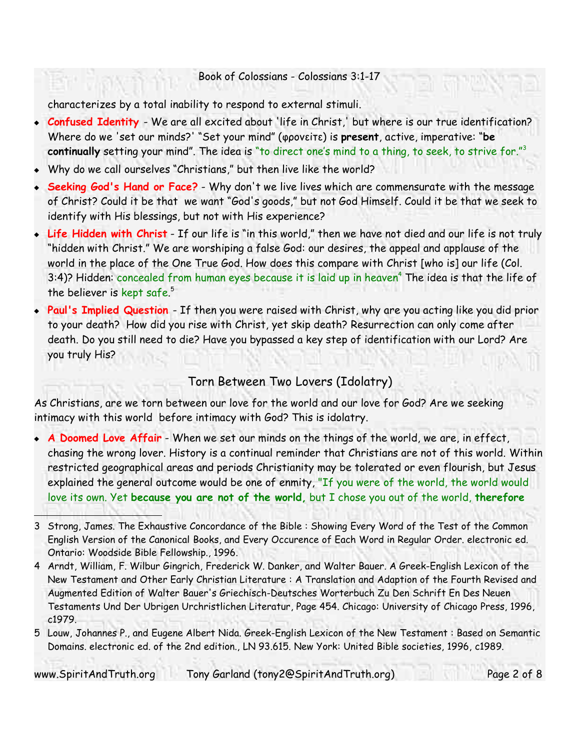characterizes by a total inability to respond to external stimuli.

- **Confused Identity** We are all excited about 'life in Christ,' but where is our true identification? Where do we 'set our minds?' "Set your mind" (φρονεiτε) is **present**, active, imperative: "**be continually** setting your mind". The idea is "to direct one's mind to a thing, to seek, to strive for."<sup>3</sup>
- Why do we call ourselves "Christians," but then live like the world?
- **Seeking God's Hand or Face?** Why don't we live lives which are commensurate with the message of Christ? Could it be that we want "God's goods," but not God Himself. Could it be that we seek to identify with His blessings, but not with His experience?
- **Life Hidden with Christ** If our life is "in this world," then we have not died and our life is not truly "hidden with Christ." We are worshiping a false God: our desires, the appeal and applause of the world in the place of the One True God. How does this compare with Christ [who is] our life (Col. 3:4)? Hidden: concealed from human eyes because it is laid up in heaven<sup>4</sup> The idea is that the life of the believer is kept safe. 5
- **Paul's Implied Question** If then you were raised with Christ, why are you acting like you did prior to your death? How did you rise with Christ, yet skip death? Resurrection can only come after death. Do you still need to die? Have you bypassed a key step of identification with our Lord? Are you truly His?

### Torn Between Two Lovers (Idolatry)

As Christians, are we torn between our love for the world and our love for God? Are we seeking intimacy with this world before intimacy with God? This is idolatry.

 **A Doomed Love Affair** - When we set our minds on the things of the world, we are, in effect, chasing the wrong lover. History is a continual reminder that Christians are not of this world. Within restricted geographical areas and periods Christianity may be tolerated or even flourish, but Jesus explained the general outcome would be one of enmity, "If you were of the world, the world would love its own. Yet **because you are not of the world,** but I chose you out of the world, **therefore**

www.SpiritAndTruth.org Tony Garland (tony2@SpiritAndTruth.org) Page 2 of 8

<sup>3</sup> Strong, James. The Exhaustive Concordance of the Bible : Showing Every Word of the Test of the Common English Version of the Canonical Books, and Every Occurence of Each Word in Regular Order. electronic ed. Ontario: Woodside Bible Fellowship., 1996.

<sup>4</sup> Arndt, William, F. Wilbur Gingrich, Frederick W. Danker, and Walter Bauer. A Greek-English Lexicon of the New Testament and Other Early Christian Literature : A Translation and Adaption of the Fourth Revised and Augmented Edition of Walter Bauer's Griechisch-Deutsches Worterbuch Zu Den Schrift En Des Neuen Testaments Und Der Ubrigen Urchristlichen Literatur, Page 454. Chicago: University of Chicago Press, 1996, c1979.

<sup>5</sup> Louw, Johannes P., and Eugene Albert Nida. Greek-English Lexicon of the New Testament : Based on Semantic Domains. electronic ed. of the 2nd edition., LN 93.615. New York: United Bible societies, 1996, c1989.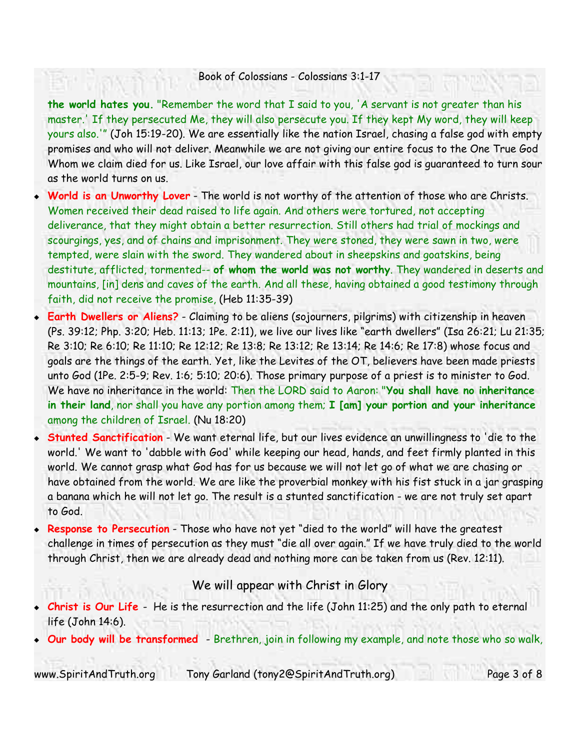**the world hates you.** "Remember the word that I said to you, 'A servant is not greater than his master.' If they persecuted Me, they will also persecute you. If they kept My word, they will keep yours also.'" (Joh 15:19-20). We are essentially like the nation Israel, chasing a false god with empty promises and who will not deliver. Meanwhile we are not giving our entire focus to the One True God Whom we claim died for us. Like Israel, our love affair with this false god is guaranteed to turn sour as the world turns on us.

- **World is an Unworthy Lover** The world is not worthy of the attention of those who are Christs. Women received their dead raised to life again. And others were tortured, not accepting deliverance, that they might obtain a better resurrection. Still others had trial of mockings and scourgings, yes, and of chains and imprisonment. They were stoned, they were sawn in two, were tempted, were slain with the sword. They wandered about in sheepskins and goatskins, being destitute, afflicted, tormented-- **of whom the world was not worthy**. They wandered in deserts and mountains, [in] dens and caves of the earth. And all these, having obtained a good testimony through faith, did not receive the promise, (Heb 11:35-39)
- **Earth Dwellers or Aliens?** Claiming to be aliens (sojourners, pilgrims) with citizenship in heaven (Ps. 39:12; Php. 3:20; Heb. 11:13; 1Pe. 2:11), we live our lives like "earth dwellers" (Isa 26:21; Lu 21:35; Re 3:10; Re 6:10; Re 11:10; Re 12:12; Re 13:8; Re 13:12; Re 13:14; Re 14:6; Re 17:8) whose focus and goals are the things of the earth. Yet, like the Levites of the OT, believers have been made priests unto God (1Pe. 2:5-9; Rev. 1:6; 5:10; 20:6). Those primary purpose of a priest is to minister to God. We have no inheritance in the world: Then the LORD said to Aaron: "**You shall have no inheritance in their land**, nor shall you have any portion among them; **I [am] your portion and your inheritance** among the children of Israel. (Nu 18:20)
- **Stunted Sanctification** We want eternal life, but our lives evidence an unwillingness to 'die to the world.' We want to 'dabble with God' while keeping our head, hands, and feet firmly planted in this world. We cannot grasp what God has for us because we will not let go of what we are chasing or have obtained from the world. We are like the proverbial monkey with his fist stuck in a jar grasping a banana which he will not let go. The result is a stunted sanctification - we are not truly set apart to God.
- **Response to Persecution** Those who have not yet "died to the world" will have the greatest challenge in times of persecution as they must "die all over again." If we have truly died to the world through Christ, then we are already dead and nothing more can be taken from us (Rev. 12:11).

#### We will appear with Christ in Glory

 **Christ is Our Life** - He is the resurrection and the life (John 11:25) and the only path to eternal life (John 14:6).

**Our body will be transformed** - Brethren, join in following my example, and note those who so walk,

www.SpiritAndTruth.org Tony Garland (tony2@SpiritAndTruth.org) Page 3 of 8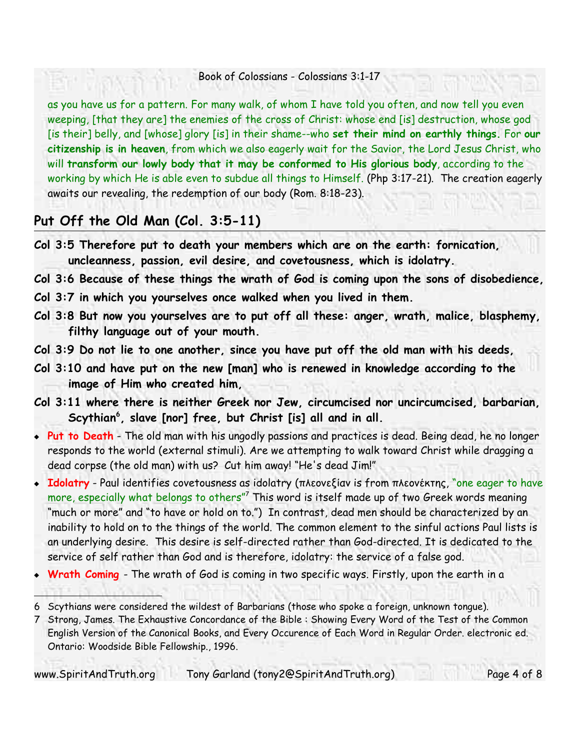as you have us for a pattern. For many walk, of whom I have told you often, and now tell you even weeping, [that they are] the enemies of the cross of Christ: whose end [is] destruction, whose god [is their] belly, and [whose] glory [is] in their shame--who **set their mind on earthly things.** For **our citizenship is in heaven**, from which we also eagerly wait for the Savior, the Lord Jesus Christ, who will **transform our lowly body that it may be conformed to His glorious body**, according to the working by which He is able even to subdue all things to Himself. (Php 3:17-21). The creation eagerly awaits our revealing, the redemption of our body (Rom. 8:18-23).

### **Put Off the Old Man (Col. 3:5-11)**

- **Col 3:5 Therefore put to death your members which are on the earth: fornication, uncleanness, passion, evil desire, and covetousness, which is idolatry.**
- **Col 3:6 Because of these things the wrath of God is coming upon the sons of disobedience,**
- **Col 3:7 in which you yourselves once walked when you lived in them.**
- **Col 3:8 But now you yourselves are to put off all these: anger, wrath, malice, blasphemy, filthy language out of your mouth.**
- **Col 3:9 Do not lie to one another, since you have put off the old man with his deeds,**
- **Col 3:10 and have put on the new [man] who is renewed in knowledge according to the image of Him who created him,**
- **Col 3:11 where there is neither Greek nor Jew, circumcised nor uncircumcised, barbarian, Scythian 6 , slave [nor] free, but Christ [is] all and in all.**
- **Put to Death** The old man with his ungodly passions and practices is dead. Being dead, he no longer responds to the world (external stimuli). Are we attempting to walk toward Christ while dragging a dead corpse (the old man) with us? Cut him away! "He's dead Jim!"
- **Idolatry** Paul identifies covetousness as idolatry (πλεονεξίαν is from πλεονέκτης, "one eager to have more, especially what belongs to others" $^7$  This word is itself made up of two Greek words meaning "much or more" and "to have or hold on to.") In contrast, dead men should be characterized by an inability to hold on to the things of the world. The common element to the sinful actions Paul lists is an underlying desire. This desire is self-directed rather than God-directed. It is dedicated to the service of self rather than God and is therefore, idolatry: the service of a false god.
- **Wrath Coming**  The wrath of God is coming in two specific ways. Firstly, upon the earth in a

www.SpiritAndTruth.org Tony Garland (tony2@SpiritAndTruth.org) Page 4 of 8

<sup>6</sup> Scythians were considered the wildest of Barbarians (those who spoke a foreign, unknown tongue).

<sup>7</sup> Strong, James. The Exhaustive Concordance of the Bible : Showing Every Word of the Test of the Common English Version of the Canonical Books, and Every Occurence of Each Word in Regular Order. electronic ed. Ontario: Woodside Bible Fellowship., 1996.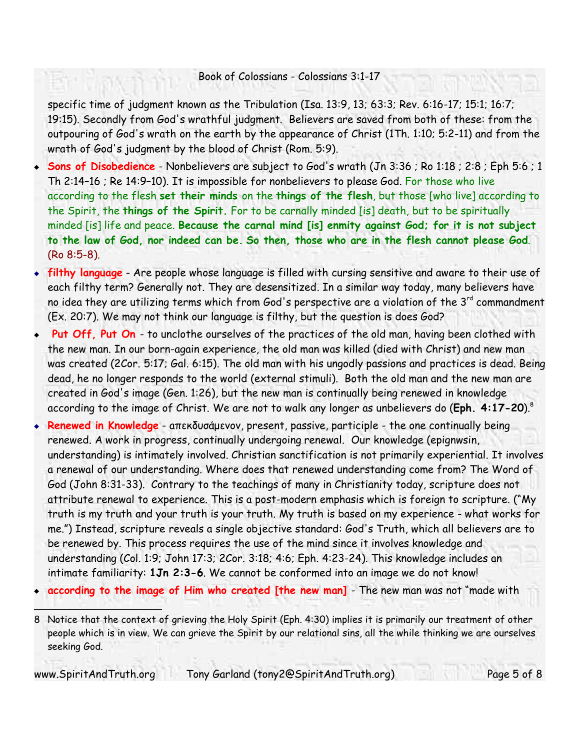specific time of judgment known as the Tribulation (Isa. 13:9, 13; 63:3; Rev. 6:16-17; 15:1; 16:7; 19:15). Secondly from God's wrathful judgment. Believers are saved from both of these: from the outpouring of God's wrath on the earth by the appearance of Christ (1Th. 1:10; 5:2-11) and from the wrath of God's judgment by the blood of Christ (Rom. 5:9).

- **Sons of Disobedience** Nonbelievers are subject to God's wrath (Jn 3:36 ; Ro 1:18 ; 2:8 ; Eph 5:6 ; 1 Th 2:14–16 ; Re 14:9–10). It is impossible for nonbelievers to please God. For those who live according to the flesh **set their minds** on the **things of the flesh**, but those [who live] according to the Spirit, the **things of the Spirit.** For to be carnally minded [is] death, but to be spiritually minded [is] life and peace. **Because the carnal mind [is] enmity against God; for it is not subject to the law of God, nor indeed can be. So then, those who are in the flesh cannot please God**. (Ro 8:5-8).
- **filthy language** Are people whose language is filled with cursing sensitive and aware to their use of each filthy term? Generally not. They are desensitized. In a similar way today, many believers have no idea they are utilizing terms which from God's perspective are a violation of the 3<sup>rd</sup> commandment (Ex. 20:7). We may not think our language is filthy, but the question is does God?
- **Put Off, Put On** to unclothe ourselves of the practices of the old man, having been clothed with the new man. In our born-again experience, the old man was killed (died with Christ) and new man was created (2Cor. 5:17; Gal. 6:15). The old man with his ungodly passions and practices is dead. Being dead, he no longer responds to the world (external stimuli). Both the old man and the new man are created in God's image (Gen. 1:26), but the new man is continually being renewed in knowledge according to the image of Christ. We are not to walk any longer as unbelievers do (**Eph. 4:17-20**). 8
- **Renewed in Knowledge** aπεκδυσάμενοv, present, passive, participle the one continually being renewed. A work in progress, continually undergoing renewal. Our knowledge (epignwsin, understanding) is intimately involved. Christian sanctification is not primarily experiential. It involves a renewal of our understanding. Where does that renewed understanding come from? The Word of God (John 8:31-33). Contrary to the teachings of many in Christianity today, scripture does not attribute renewal to experience. This is a post-modern emphasis which is foreign to scripture. ("My truth is my truth and your truth is your truth. My truth is based on my experience - what works for me.") Instead, scripture reveals a single objective standard: God's Truth, which all believers are to be renewed by. This process requires the use of the mind since it involves knowledge and understanding (Col. 1:9; John 17:3; 2Cor. 3:18; 4:6; Eph. 4:23-24). This knowledge includes an intimate familiarity: **1Jn 2:3-6**. We cannot be conformed into an image we do not know!
- **according to the image of Him who created [the new man]** The new man was not "made with

<sup>8</sup> Notice that the context of grieving the Holy Spirit (Eph. 4:30) implies it is primarily our treatment of other people which is in view. We can grieve the Spirit by our relational sins, all the while thinking we are ourselves seeking God.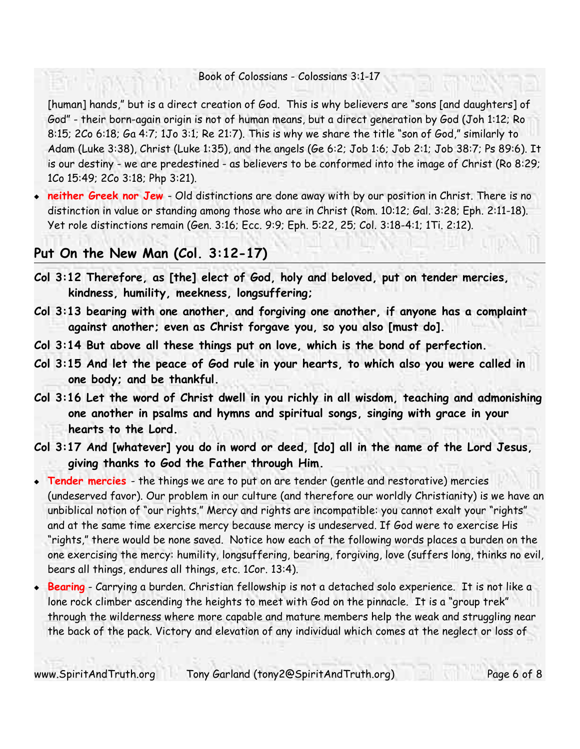[human] hands," but is a direct creation of God. This is why believers are "sons [and daughters] of God" - their born-again origin is not of human means, but a direct generation by God (Joh 1:12; Ro 8:15; 2Co 6:18; Ga 4:7; 1Jo 3:1; Re 21:7). This is why we share the title "son of God," similarly to Adam (Luke 3:38), Christ (Luke 1:35), and the angels (Ge 6:2; Job 1:6; Job 2:1; Job 38:7; Ps 89:6). It is our destiny - we are predestined - as believers to be conformed into the image of Christ (Ro 8:29; 1Co 15:49; 2Co 3:18; Php 3:21).

 **neither Greek nor Jew** - Old distinctions are done away with by our position in Christ. There is no distinction in value or standing among those who are in Christ (Rom. 10:12; Gal. 3:28; Eph. 2:11-18). Yet role distinctions remain (Gen. 3:16; Ecc. 9:9; Eph. 5:22, 25; Col. 3:18-4:1; 1Ti. 2:12).

### **Put On the New Man (Col. 3:12-17)**

- **Col 3:12 Therefore, as [the] elect of God, holy and beloved, put on tender mercies, kindness, humility, meekness, longsuffering;**
- **Col 3:13 bearing with one another, and forgiving one another, if anyone has a complaint against another; even as Christ forgave you, so you also [must do].**
- **Col 3:14 But above all these things put on love, which is the bond of perfection.**
- **Col 3:15 And let the peace of God rule in your hearts, to which also you were called in one body; and be thankful.**
- **Col 3:16 Let the word of Christ dwell in you richly in all wisdom, teaching and admonishing one another in psalms and hymns and spiritual songs, singing with grace in your hearts to the Lord.**
- **Col 3:17 And [whatever] you do in word or deed, [do] all in the name of the Lord Jesus, giving thanks to God the Father through Him.**
- **Tender mercies** the things we are to put on are tender (gentle and restorative) mercies (undeserved favor). Our problem in our culture (and therefore our worldly Christianity) is we have an unbiblical notion of "our rights." Mercy and rights are incompatible: you cannot exalt your "rights" and at the same time exercise mercy because mercy is undeserved. If God were to exercise His "rights," there would be none saved. Notice how each of the following words places a burden on the one exercising the mercy: humility, longsuffering, bearing, forgiving, love (suffers long, thinks no evil, bears all things, endures all things, etc. 1Cor. 13:4).
- **Bearing** Carrying a burden. Christian fellowship is not a detached solo experience. It is not like a lone rock climber ascending the heights to meet with God on the pinnacle. It is a "group trek" through the wilderness where more capable and mature members help the weak and struggling near the back of the pack. Victory and elevation of any individual which comes at the neglect or loss of

www.SpiritAndTruth.org Tony Garland (tony2@SpiritAndTruth.org) Page 6 of 8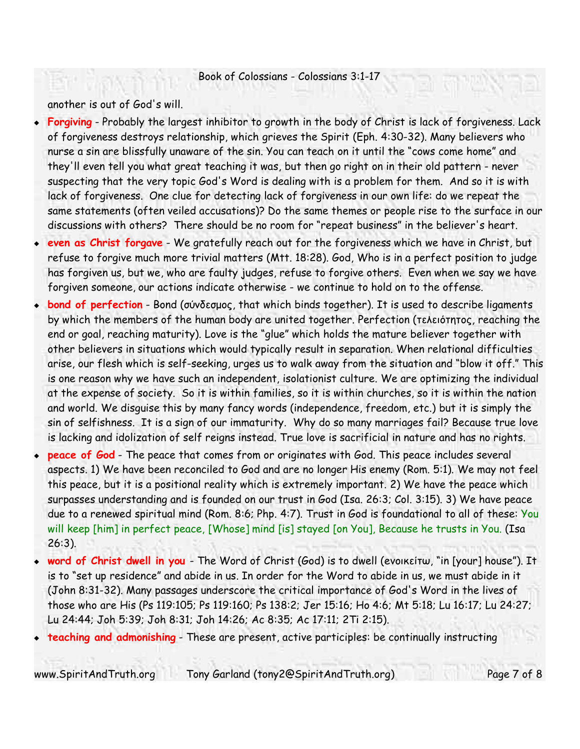another is out of God's will.

- **Forgiving** Probably the largest inhibitor to growth in the body of Christ is lack of forgiveness. Lack of forgiveness destroys relationship, which grieves the Spirit (Eph. 4:30-32). Many believers who nurse a sin are blissfully unaware of the sin. You can teach on it until the "cows come home" and they'll even tell you what great teaching it was, but then go right on in their old pattern - never suspecting that the very topic God's Word is dealing with is a problem for them. And so it is with lack of forgiveness. One clue for detecting lack of forgiveness in our own life: do we repeat the same statements (often veiled accusations)? Do the same themes or people rise to the surface in our discussions with others? There should be no room for "repeat business" in the believer's heart.
- **even as Christ forgave** We gratefully reach out for the forgiveness which we have in Christ, but refuse to forgive much more trivial matters (Mtt. 18:28). God, Who is in a perfect position to judge has forgiven us, but we, who are faulty judges, refuse to forgive others. Even when we say we have forgiven someone, our actions indicate otherwise - we continue to hold on to the offense.
- **bond of perfection** Bond (σύνδεσμος, that which binds together). It is used to describe ligaments by which the members of the human body are united together. Perfection (τελειότητος, reaching the end or goal, reaching maturity). Love is the "glue" which holds the mature believer together with other believers in situations which would typically result in separation. When relational difficulties arise, our flesh which is self-seeking, urges us to walk away from the situation and "blow it off." This is one reason why we have such an independent, isolationist culture. We are optimizing the individual at the expense of society. So it is within families, so it is within churches, so it is within the nation and world. We disguise this by many fancy words (independence, freedom, etc.) but it is simply the sin of selfishness. It is a sign of our immaturity. Why do so many marriages fail? Because true love is lacking and idolization of self reigns instead. True love is sacrificial in nature and has no rights.
- **peace of God** The peace that comes from or originates with God. This peace includes several aspects. 1) We have been reconciled to God and are no longer His enemy (Rom. 5:1). We may not feel this peace, but it is a positional reality which is extremely important. 2) We have the peace which surpasses understanding and is founded on our trust in God (Isa. 26:3; Col. 3:15). 3) We have peace due to a renewed spiritual mind (Rom. 8:6; Php. 4:7). Trust in God is foundational to all of these: You will keep [him] in perfect peace, [Whose] mind [is] stayed [on You], Because he trusts in You. (Isa 26:3).
- **word of Christ dwell in you**  The Word of Christ (God) is to dwell (eνοικείτω, "in [your] house"). It is to "set up residence" and abide in us. In order for the Word to abide in us, we must abide in it (John 8:31-32). Many passages underscore the critical importance of God's Word in the lives of those who are His (Ps 119:105; Ps 119:160; Ps 138:2; Jer 15:16; Ho 4:6; Mt 5:18; Lu 16:17; Lu 24:27; Lu 24:44; Joh 5:39; Joh 8:31; Joh 14:26; Ac 8:35; Ac 17:11; 2Ti 2:15).
- **teaching and admonishing** These are present, active participles: be continually instructing

www.SpiritAndTruth.org Tony Garland (tony2@SpiritAndTruth.org) Page 7 of 8